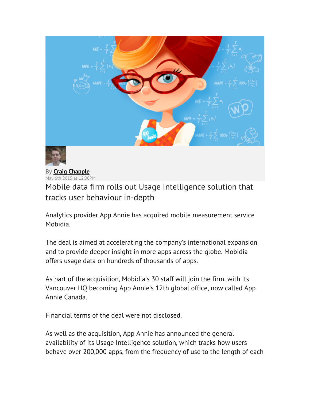

By **Craig Chapple** May 6th 2015 at 12:00PM

Mobile data firm rolls out Usage Intelligence solution that tracks user behaviour in-depth

Analytics provider App Annie has acquired mobile measurement service Mobidia.

The deal is aimed at accelerating the company's international expansion and to provide deeper insight in more apps across the globe. Mobidia offers usage data on hundreds of thousands of apps.

As part of the acquisition, Mobidia's 30 staff will join the firm, with its Vancouver HQ becoming App Annie's 12th global office, now called App Annie Canada.

Financial terms of the deal were not disclosed.

As well as the acquisition, App Annie has announced the general availability of its Usage Intelligence solution, which tracks how users behave over 200,000 apps, from the frequency of use to the length of each